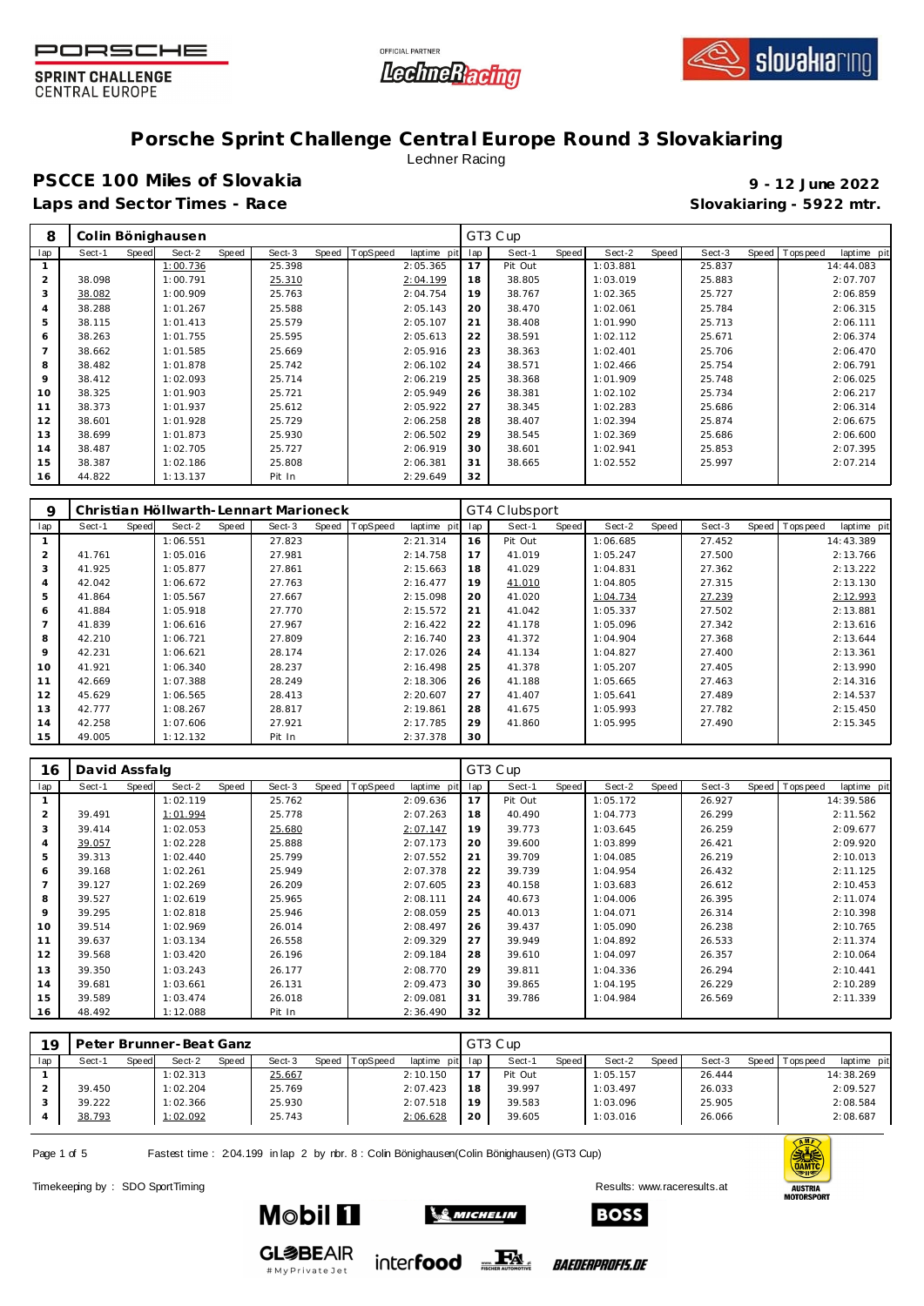





## **Porsche Sprint Challenge Central Europe Round 3 Slovakiaring**

Lechner Racing

### **PSCCE 100 Miles of Slovakia 9 - 12 June 2022 Laps and Sector Times - Race Slovakiaring - 5922 mtr.**

| 8              |        |       | Colin Bönighausen |       |        |       |          |             |     | GT3 Cup |       |          |       |        |                |             |
|----------------|--------|-------|-------------------|-------|--------|-------|----------|-------------|-----|---------|-------|----------|-------|--------|----------------|-------------|
| lap            | Sect-1 | Speed | Sect-2            | Speed | Sect-3 | Speed | TopSpeed | laptime pit | lap | Sect-1  | Speed | Sect-2   | Speed | Sect-3 | Speed Topspeed | laptime pit |
|                |        |       | 1:00.736          |       | 25.398 |       |          | 2:05.365    | 17  | Pit Out |       | 1:03.881 |       | 25.837 |                | 14:44.083   |
| $\overline{2}$ | 38.098 |       | 1:00.791          |       | 25.310 |       |          | 2:04.199    | 18  | 38.805  |       | 1:03.019 |       | 25.883 |                | 2:07.707    |
| 3              | 38.082 |       | 1:00.909          |       | 25.763 |       |          | 2:04.754    | 19  | 38.767  |       | 1:02.365 |       | 25.727 |                | 2:06.859    |
| 4              | 38.288 |       | 1:01.267          |       | 25.588 |       |          | 2:05.143    | 20  | 38.470  |       | 1:02.061 |       | 25.784 |                | 2:06.315    |
| 5              | 38.115 |       | 1:01.413          |       | 25.579 |       |          | 2:05.107    | 21  | 38.408  |       | 1:01.990 |       | 25.713 |                | 2:06.111    |
| 6              | 38.263 |       | 1:01.755          |       | 25.595 |       |          | 2:05.613    | 22  | 38.591  |       | 1:02.112 |       | 25.671 |                | 2:06.374    |
|                | 38.662 |       | 1:01.585          |       | 25.669 |       |          | 2:05.916    | 23  | 38.363  |       | 1:02.401 |       | 25.706 |                | 2:06.470    |
| 8              | 38.482 |       | 1:01.878          |       | 25.742 |       |          | 2:06.102    | 24  | 38.571  |       | 1:02.466 |       | 25.754 |                | 2:06.791    |
| 9              | 38.412 |       | 1:02.093          |       | 25.714 |       |          | 2:06.219    | 25  | 38.368  |       | 1:01.909 |       | 25.748 |                | 2:06.025    |
| 10             | 38.325 |       | 1:01.903          |       | 25.721 |       |          | 2:05.949    | 26  | 38.381  |       | 1:02.102 |       | 25.734 |                | 2:06.217    |
| 11             | 38.373 |       | 1:01.937          |       | 25.612 |       |          | 2:05.922    | 27  | 38.345  |       | 1:02.283 |       | 25.686 |                | 2:06.314    |
| 12             | 38.601 |       | 1:01.928          |       | 25.729 |       |          | 2:06.258    | 28  | 38.407  |       | 1:02.394 |       | 25.874 |                | 2:06.675    |
| 13             | 38.699 |       | 1:01.873          |       | 25.930 |       |          | 2:06.502    | 29  | 38.545  |       | 1:02.369 |       | 25.686 |                | 2:06.600    |
| 14             | 38.487 |       | 1:02.705          |       | 25.727 |       |          | 2:06.919    | 30  | 38.601  |       | 1:02.941 |       | 25.853 |                | 2:07.395    |
| 15             | 38.387 |       | 1:02.186          |       | 25.808 |       |          | 2:06.381    | 31  | 38.665  |       | 1:02.552 |       | 25.997 |                | 2:07.214    |
| 16             | 44.822 |       | 1:13.137          |       | Pit In |       |          | 2:29.649    | 32  |         |       |          |       |        |                |             |

| 9              |        |       |          |       | Christian Höllwarth-Lennart Marioneck |       |          |             |     | GT4 Clubsport |       |          |       |        |       |            |             |
|----------------|--------|-------|----------|-------|---------------------------------------|-------|----------|-------------|-----|---------------|-------|----------|-------|--------|-------|------------|-------------|
| lap            | Sect-1 | Speed | Sect-2   | Speed | Sect-3                                | Speed | TopSpeed | laptime pit | lap | Sect-1        | Speed | Sect-2   | Speed | Sect-3 | Speed | Tops pee d | laptime pit |
|                |        |       | 1:06.551 |       | 27.823                                |       |          | 2:21.314    | 16  | Pit Out       |       | 1:06.685 |       | 27.452 |       |            | 14:43.389   |
| 2              | 41.761 |       | 1:05.016 |       | 27.981                                |       |          | 2:14.758    | 17  | 41.019        |       | 1:05.247 |       | 27.500 |       |            | 2:13.766    |
| 3              | 41.925 |       | 1:05.877 |       | 27.861                                |       |          | 2:15.663    | 18  | 41.029        |       | 1:04.831 |       | 27.362 |       |            | 2:13.222    |
| $\overline{4}$ | 42.042 |       | 1:06.672 |       | 27.763                                |       |          | 2:16.477    | 19  | 41.010        |       | 1:04.805 |       | 27.315 |       |            | 2:13.130    |
| 5              | 41.864 |       | 1:05.567 |       | 27.667                                |       |          | 2:15.098    | 20  | 41.020        |       | 1:04.734 |       | 27.239 |       |            | 2:12.993    |
| 6              | 41.884 |       | 1:05.918 |       | 27.770                                |       |          | 2:15.572    | 21  | 41.042        |       | 1:05.337 |       | 27.502 |       |            | 2:13.881    |
| $\overline{7}$ | 41.839 |       | 1:06.616 |       | 27.967                                |       |          | 2:16.422    | 22  | 41.178        |       | 1:05.096 |       | 27.342 |       |            | 2:13.616    |
| 8              | 42.210 |       | 1:06.721 |       | 27.809                                |       |          | 2:16.740    | 23  | 41.372        |       | 1:04.904 |       | 27.368 |       |            | 2:13.644    |
| 9              | 42.231 |       | 1:06.621 |       | 28.174                                |       |          | 2:17.026    | 24  | 41.134        |       | 1:04.827 |       | 27.400 |       |            | 2:13.361    |
| 10             | 41.921 |       | 1:06.340 |       | 28.237                                |       |          | 2:16.498    | 25  | 41.378        |       | 1:05.207 |       | 27.405 |       |            | 2:13.990    |
| 11             | 42.669 |       | 1:07.388 |       | 28.249                                |       |          | 2:18.306    | 26  | 41.188        |       | 1:05.665 |       | 27.463 |       |            | 2:14.316    |
| 12             | 45.629 |       | 1:06.565 |       | 28.413                                |       |          | 2:20.607    | 27  | 41.407        |       | 1:05.641 |       | 27.489 |       |            | 2:14.537    |
| 13             | 42.777 |       | 1:08.267 |       | 28.817                                |       |          | 2:19.861    | 28  | 41.675        |       | 1:05.993 |       | 27.782 |       |            | 2:15.450    |
| 14             | 42.258 |       | 1:07.606 |       | 27.921                                |       |          | 2:17.785    | 29  | 41.860        |       | 1:05.995 |       | 27.490 |       |            | 2:15.345    |
| 15             | 49.005 |       | 1:12.132 |       | Pit In                                |       |          | 2:37.378    | 30  |               |       |          |       |        |       |            |             |

| 16             | David Assfalg |       |          |       |        |       |          |             |     | GT3 Cup |       |          |       |        |       |            |             |
|----------------|---------------|-------|----------|-------|--------|-------|----------|-------------|-----|---------|-------|----------|-------|--------|-------|------------|-------------|
| lap            | Sect-1        | Speed | Sect-2   | Speed | Sect-3 | Speed | TopSpeed | laptime pit | lap | Sect-1  | Speed | Sect-2   | Speed | Sect-3 | Speed | Tops pee d | laptime pit |
|                |               |       | 1:02.119 |       | 25.762 |       |          | 2:09.636    | 17  | Pit Out |       | 1:05.172 |       | 26.927 |       |            | 14:39.586   |
| $\overline{2}$ | 39.491        |       | 1:01.994 |       | 25.778 |       |          | 2:07.263    | 18  | 40.490  |       | 1:04.773 |       | 26.299 |       |            | 2:11.562    |
| 3              | 39.414        |       | 1:02.053 |       | 25.680 |       |          | 2:07.147    | 19  | 39.773  |       | 1:03.645 |       | 26.259 |       |            | 2:09.677    |
| 4              | 39.057        |       | 1:02.228 |       | 25.888 |       |          | 2:07.173    | 20  | 39.600  |       | 1:03.899 |       | 26.421 |       |            | 2:09.920    |
| 5              | 39.313        |       | 1:02.440 |       | 25.799 |       |          | 2:07.552    | 21  | 39.709  |       | 1:04.085 |       | 26.219 |       |            | 2:10.013    |
| 6              | 39.168        |       | 1:02.261 |       | 25.949 |       |          | 2:07.378    | 22  | 39.739  |       | 1:04.954 |       | 26.432 |       |            | 2:11.125    |
|                | 39.127        |       | 1:02.269 |       | 26.209 |       |          | 2:07.605    | 23  | 40.158  |       | 1:03.683 |       | 26.612 |       |            | 2:10.453    |
| 8              | 39.527        |       | 1:02.619 |       | 25.965 |       |          | 2:08.111    | 24  | 40.673  |       | 1:04.006 |       | 26.395 |       |            | 2:11.074    |
| 9              | 39.295        |       | 1:02.818 |       | 25.946 |       |          | 2:08.059    | 25  | 40.013  |       | 1:04.071 |       | 26.314 |       |            | 2:10.398    |
| 10             | 39.514        |       | 1:02.969 |       | 26.014 |       |          | 2:08.497    | 26  | 39.437  |       | 1:05.090 |       | 26.238 |       |            | 2:10.765    |
| 11             | 39.637        |       | 1:03.134 |       | 26.558 |       |          | 2:09.329    | 27  | 39.949  |       | 1:04.892 |       | 26.533 |       |            | 2:11.374    |
| 12             | 39.568        |       | 1:03.420 |       | 26.196 |       |          | 2:09.184    | 28  | 39.610  |       | 1:04.097 |       | 26.357 |       |            | 2:10.064    |
| 13             | 39.350        |       | 1:03.243 |       | 26.177 |       |          | 2:08.770    | 29  | 39.811  |       | 1:04.336 |       | 26.294 |       |            | 2:10.441    |
| 14             | 39.681        |       | 1:03.661 |       | 26.131 |       |          | 2:09.473    | 30  | 39.865  |       | 1:04.195 |       | 26.229 |       |            | 2:10.289    |
| 15             | 39.589        |       | 1:03.474 |       | 26.018 |       |          | 2:09.081    | 31  | 39.786  |       | 1:04.984 |       | 26.569 |       |            | 2:11.339    |
| 16             | 48.492        |       | 1:12.088 |       | Pit In |       |          | 2:36.490    | 32  |         |       |          |       |        |       |            |             |

| 19  |        |       | Peter Brunner-Beat Ganz |       |        |       |          |             |     | GT3 Cup |       |          |       |        |       |            |             |
|-----|--------|-------|-------------------------|-------|--------|-------|----------|-------------|-----|---------|-------|----------|-------|--------|-------|------------|-------------|
| lap | Sect-1 | Speed | Sect-2                  | Speed | Sect-3 | Speed | TopSpeed | laptime pit | lap | Sect-   | Speed | Sect-2   | Speed | Sect-3 | Speed | Tops pee d | laptime pit |
|     |        |       | 1:02.313                |       | 25.667 |       |          | 2:10.150    |     | Pit Out |       | 1:05.157 |       | 26.444 |       |            | 14:38.269   |
|     | 39.450 |       | 1:02.204                |       | 25.769 |       |          | 2:07.423    | 18  | 39.997  |       | 1:03.497 |       | 26.033 |       |            | 2:09.527    |
|     | 39.222 |       | 1:02.366                |       | 25.930 |       |          | 2:07.518    | 19  | 39.583  |       | 1:03.096 |       | 25.905 |       |            | 2:08.584    |
|     | 38.793 |       | 1:02.092                |       | 25.743 |       |          | 2:06.628    | 20  | 39.605  |       | 1:03.016 |       | 26.066 |       |            | 2:08.687    |

 $\mathcal{L}$  Michelin

Page 1 of 5 Fastest time : 204.199 in lap 2 by rbr. 8 : Colin Bönighausen(Colin Bönighausen) (GT3 Cup)

Timekeeping by : SDO SportTiming Results: [www.raceresults.a](www.raceresults.at)t



**GL参BEAIR** #MyPrivateJet

**Mobil 11** 



*BAEDERPROFIS.DE*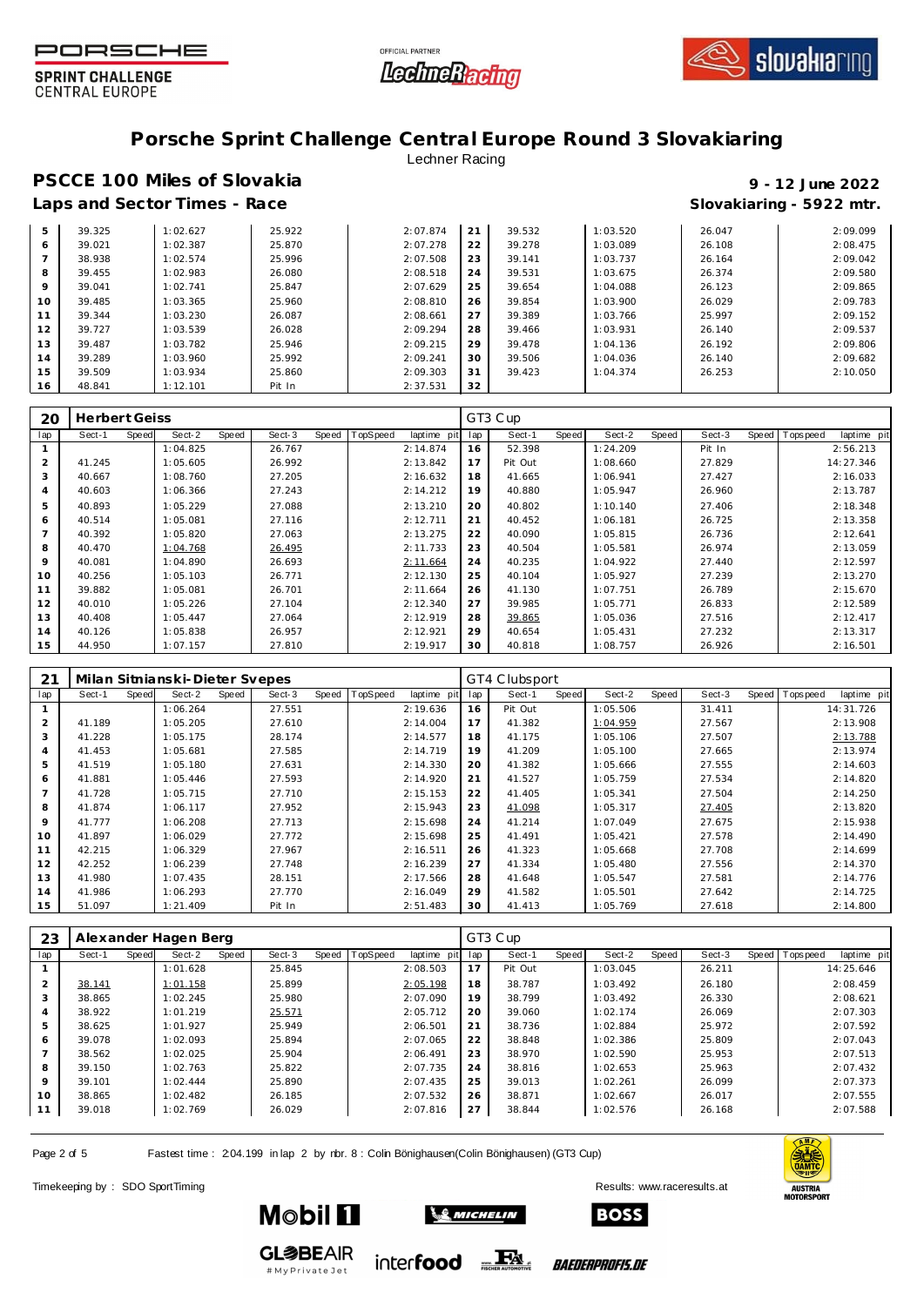





### **Porsche Sprint Challenge Central Europe Round 3 Slovakiaring** Lechner Racing

### **PSCCE 100 Miles of Slovakia 9 - 12 June 2022 Laps and Sector Times - Race Slovakiaring - 5922 mtr.**

| 5  | 39.325 | 1:02.627 | 25.922 | 2:07.874 | 21 | 39.532 | 1:03.520 | 26.047 | 2:09.099 |
|----|--------|----------|--------|----------|----|--------|----------|--------|----------|
| 6  | 39.021 | 1:02.387 | 25.870 | 2:07.278 | 22 | 39.278 | 1:03.089 | 26.108 | 2:08.475 |
|    | 38.938 | 1:02.574 | 25.996 | 2:07.508 | 23 | 39.141 | 1:03.737 | 26.164 | 2:09.042 |
| 8  | 39.455 | 1:02.983 | 26.080 | 2:08.518 | 24 | 39.531 | 1:03.675 | 26.374 | 2:09.580 |
| 9  | 39.041 | 1:02.741 | 25.847 | 2:07.629 | 25 | 39.654 | 1:04.088 | 26.123 | 2:09.865 |
| 10 | 39.485 | 1:03.365 | 25.960 | 2:08.810 | 26 | 39.854 | 1:03.900 | 26.029 | 2:09.783 |
| 11 | 39.344 | 1:03.230 | 26.087 | 2:08.661 | 27 | 39.389 | 1:03.766 | 25.997 | 2:09.152 |
| 12 | 39.727 | 1:03.539 | 26.028 | 2:09.294 | 28 | 39.466 | 1:03.931 | 26.140 | 2:09.537 |
| 13 | 39.487 | 1:03.782 | 25.946 | 2:09.215 | 29 | 39.478 | 1:04.136 | 26.192 | 2:09.806 |
| 14 | 39.289 | 1:03.960 | 25.992 | 2:09.241 | 30 | 39.506 | 1:04.036 | 26.140 | 2:09.682 |
| 15 | 39.509 | 1:03.934 | 25.860 | 2:09.303 | 31 | 39.423 | 1:04.374 | 26.253 | 2:10.050 |
| 16 | 48.841 | 1:12.101 | Pit In | 2:37.531 | 32 |        |          |        |          |

| 20             | <b>Herbert Geiss</b> |       |          |       |        |       |          |             |     | GT3 Cup |       |          |       |        |       |           |             |
|----------------|----------------------|-------|----------|-------|--------|-------|----------|-------------|-----|---------|-------|----------|-------|--------|-------|-----------|-------------|
| lap            | Sect-1               | Speed | Sect-2   | Speed | Sect-3 | Speed | TopSpeed | laptime pit | lap | Sect-1  | Speed | Sect-2   | Speed | Sect-3 | Speed | Tops peed | laptime pit |
|                |                      |       | 1:04.825 |       | 26.767 |       |          | 2:14.874    | 16  | 52.398  |       | 1:24.209 |       | Pit In |       |           | 2:56.213    |
| 2              | 41.245               |       | 1:05.605 |       | 26.992 |       |          | 2:13.842    | 17  | Pit Out |       | 1:08.660 |       | 27.829 |       |           | 14:27.346   |
| 3              | 40.667               |       | 1:08.760 |       | 27.205 |       |          | 2:16.632    | 18  | 41.665  |       | 1:06.941 |       | 27.427 |       |           | 2:16.033    |
| $\overline{4}$ | 40.603               |       | 1:06.366 |       | 27.243 |       |          | 2:14.212    | 19  | 40.880  |       | 1:05.947 |       | 26.960 |       |           | 2:13.787    |
| 5              | 40.893               |       | 1:05.229 |       | 27.088 |       |          | 2:13.210    | 20  | 40.802  |       | 1:10.140 |       | 27.406 |       |           | 2:18.348    |
| 6              | 40.514               |       | 1:05.081 |       | 27.116 |       |          | 2:12.711    | 21  | 40.452  |       | 1:06.181 |       | 26.725 |       |           | 2:13.358    |
| 7              | 40.392               |       | 1:05.820 |       | 27.063 |       |          | 2:13.275    | 22  | 40.090  |       | 1:05.815 |       | 26.736 |       |           | 2:12.641    |
| 8              | 40.470               |       | 1:04.768 |       | 26.495 |       |          | 2:11.733    | 23  | 40.504  |       | 1:05.581 |       | 26.974 |       |           | 2:13.059    |
| 9              | 40.081               |       | 1:04.890 |       | 26.693 |       |          | 2:11.664    | 24  | 40.235  |       | 1:04.922 |       | 27.440 |       |           | 2:12.597    |
| 10             | 40.256               |       | 1:05.103 |       | 26.771 |       |          | 2:12.130    | 25  | 40.104  |       | 1:05.927 |       | 27.239 |       |           | 2:13.270    |
| 11             | 39.882               |       | 1:05.081 |       | 26.701 |       |          | 2:11.664    | 26  | 41.130  |       | 1:07.751 |       | 26.789 |       |           | 2:15.670    |
| 12             | 40.010               |       | 1:05.226 |       | 27.104 |       |          | 2:12.340    | 27  | 39.985  |       | 1:05.771 |       | 26.833 |       |           | 2:12.589    |
| 13             | 40.408               |       | 1:05.447 |       | 27.064 |       |          | 2:12.919    | 28  | 39.865  |       | 1:05.036 |       | 27.516 |       |           | 2:12.417    |
| 14             | 40.126               |       | 1:05.838 |       | 26.957 |       |          | 2:12.921    | 29  | 40.654  |       | 1:05.431 |       | 27.232 |       |           | 2:13.317    |
| 15             | 44.950               |       | 1:07.157 |       | 27.810 |       |          | 2:19.917    | 30  | 40.818  |       | 1:08.757 |       | 26.926 |       |           | 2:16.501    |

| 21             |        |       | Milan Sitnianski-Dieter Svepes |       |        |                |             |     | GT4 Clubsport |       |          |       |        |       |          |             |
|----------------|--------|-------|--------------------------------|-------|--------|----------------|-------------|-----|---------------|-------|----------|-------|--------|-------|----------|-------------|
| lap            | Sect-1 | Speed | Sect-2                         | Speed | Sect-3 | Speed TopSpeed | laptime pit | lap | Sect-1        | Speed | Sect-2   | Speed | Sect-3 | Speed | Topspeed | laptime pit |
|                |        |       | 1:06.264                       |       | 27.551 |                | 2:19.636    | 16  | Pit Out       |       | 1:05.506 |       | 31.411 |       |          | 14:31.726   |
| 2              | 41.189 |       | 1:05.205                       |       | 27.610 |                | 2:14.004    | 17  | 41.382        |       | 1:04.959 |       | 27.567 |       |          | 2:13.908    |
| 3              | 41.228 |       | 1:05.175                       |       | 28.174 |                | 2:14.577    | 18  | 41.175        |       | 1:05.106 |       | 27.507 |       |          | 2:13.788    |
| $\overline{4}$ | 41.453 |       | 1:05.681                       |       | 27.585 |                | 2:14.719    | 19  | 41.209        |       | 1:05.100 |       | 27.665 |       |          | 2:13.974    |
| 5              | 41.519 |       | 1:05.180                       |       | 27.631 |                | 2:14.330    | 20  | 41.382        |       | 1:05.666 |       | 27.555 |       |          | 2:14.603    |
| 6              | 41.881 |       | 1:05.446                       |       | 27.593 |                | 2:14.920    | 21  | 41.527        |       | 1:05.759 |       | 27.534 |       |          | 2:14.820    |
| 7              | 41.728 |       | 1:05.715                       |       | 27.710 |                | 2:15.153    | 22  | 41.405        |       | 1:05.341 |       | 27.504 |       |          | 2:14.250    |
| 8              | 41.874 |       | 1:06.117                       |       | 27.952 |                | 2:15.943    | 23  | 41.098        |       | 1:05.317 |       | 27.405 |       |          | 2:13.820    |
| 9              | 41.777 |       | 1:06.208                       |       | 27.713 |                | 2:15.698    | 24  | 41.214        |       | 1:07.049 |       | 27.675 |       |          | 2:15.938    |
| 10             | 41.897 |       | 1:06.029                       |       | 27.772 |                | 2:15.698    | 25  | 41.491        |       | 1:05.421 |       | 27.578 |       |          | 2:14.490    |
| 11             | 42.215 |       | 1:06.329                       |       | 27.967 |                | 2:16.511    | 26  | 41.323        |       | 1:05.668 |       | 27.708 |       |          | 2:14.699    |
| 12             | 42.252 |       | 1:06.239                       |       | 27.748 |                | 2:16.239    | 27  | 41.334        |       | 1:05.480 |       | 27.556 |       |          | 2:14.370    |
| 13             | 41.980 |       | 1:07.435                       |       | 28.151 |                | 2:17.566    | 28  | 41.648        |       | 1:05.547 |       | 27.581 |       |          | 2:14.776    |
| 14             | 41.986 |       | 1:06.293                       |       | 27.770 |                | 2:16.049    | 29  | 41.582        |       | 1:05.501 |       | 27.642 |       |          | 2:14.725    |
| 15             | 51.097 |       | 1:21.409                       |       | Pit In |                | 2:51.483    | 30  | 41.413        |       | 1:05.769 |       | 27.618 |       |          | 2:14.800    |

| 23             |        |       | Alexander Hagen Berg |       |        |       |          |             |     | GT3 Cup |       |          |       |        |                  |             |
|----------------|--------|-------|----------------------|-------|--------|-------|----------|-------------|-----|---------|-------|----------|-------|--------|------------------|-------------|
| lap            | Sect-1 | Speed | Sect-2               | Speed | Sect-3 | Speed | TopSpeed | laptime pit | lap | Sect-1  | Speed | Sect-2   | Speed | Sect-3 | Speed   Topspeed | laptime pit |
|                |        |       | 1:01.628             |       | 25.845 |       |          | 2:08.503    | 17  | Pit Out |       | 1:03.045 |       | 26.211 |                  | 14:25.646   |
| 2              | 38.141 |       | 1:01.158             |       | 25.899 |       |          | 2:05.198    | 18  | 38.787  |       | 1:03.492 |       | 26.180 |                  | 2:08.459    |
| 3              | 38.865 |       | 1:02.245             |       | 25.980 |       |          | 2:07.090    | 19  | 38.799  |       | 1:03.492 |       | 26.330 |                  | 2:08.621    |
| $\overline{4}$ | 38.922 |       | 1:01.219             |       | 25.571 |       |          | 2:05.712    | 20  | 39.060  |       | 1:02.174 |       | 26.069 |                  | 2:07.303    |
| 5              | 38.625 |       | 1:01.927             |       | 25.949 |       |          | 2:06.501    | 21  | 38.736  |       | 1:02.884 |       | 25.972 |                  | 2:07.592    |
| 6              | 39.078 |       | 1:02.093             |       | 25.894 |       |          | 2:07.065    | 22  | 38.848  |       | 1:02.386 |       | 25.809 |                  | 2:07.043    |
|                | 38.562 |       | 1:02.025             |       | 25.904 |       |          | 2:06.491    | 23  | 38.970  |       | 1:02.590 |       | 25.953 |                  | 2:07.513    |
| 8              | 39.150 |       | 1:02.763             |       | 25.822 |       |          | 2:07.735    | 24  | 38.816  |       | 1:02.653 |       | 25.963 |                  | 2:07.432    |
| 9              | 39.101 |       | 1:02.444             |       | 25.890 |       |          | 2:07.435    | 25  | 39.013  |       | 1:02.261 |       | 26.099 |                  | 2:07.373    |
| 10             | 38.865 |       | 1:02.482             |       | 26.185 |       |          | 2:07.532    | 26  | 38.871  |       | 1:02.667 |       | 26.017 |                  | 2:07.555    |
| 11             | 39.018 |       | 1:02.769             |       | 26.029 |       |          | 2:07.816    | 27  | 38.844  |       | 1:02.576 |       | 26.168 |                  | 2:07.588    |

Page 2 of 5 Fastest time : 204.199 in lap 2 by rbr. 8 : Colin Bönighausen(Colin Bönighausen) (GT3 Cup)

Timekeeping by : SDO SportTiming Results: [www.raceresults.a](www.raceresults.at)t



**GL参BEAIR** #MyPrivateJet

**Mobil FI** 



inter**food** FALL

*BAEDERPROFIS.DE*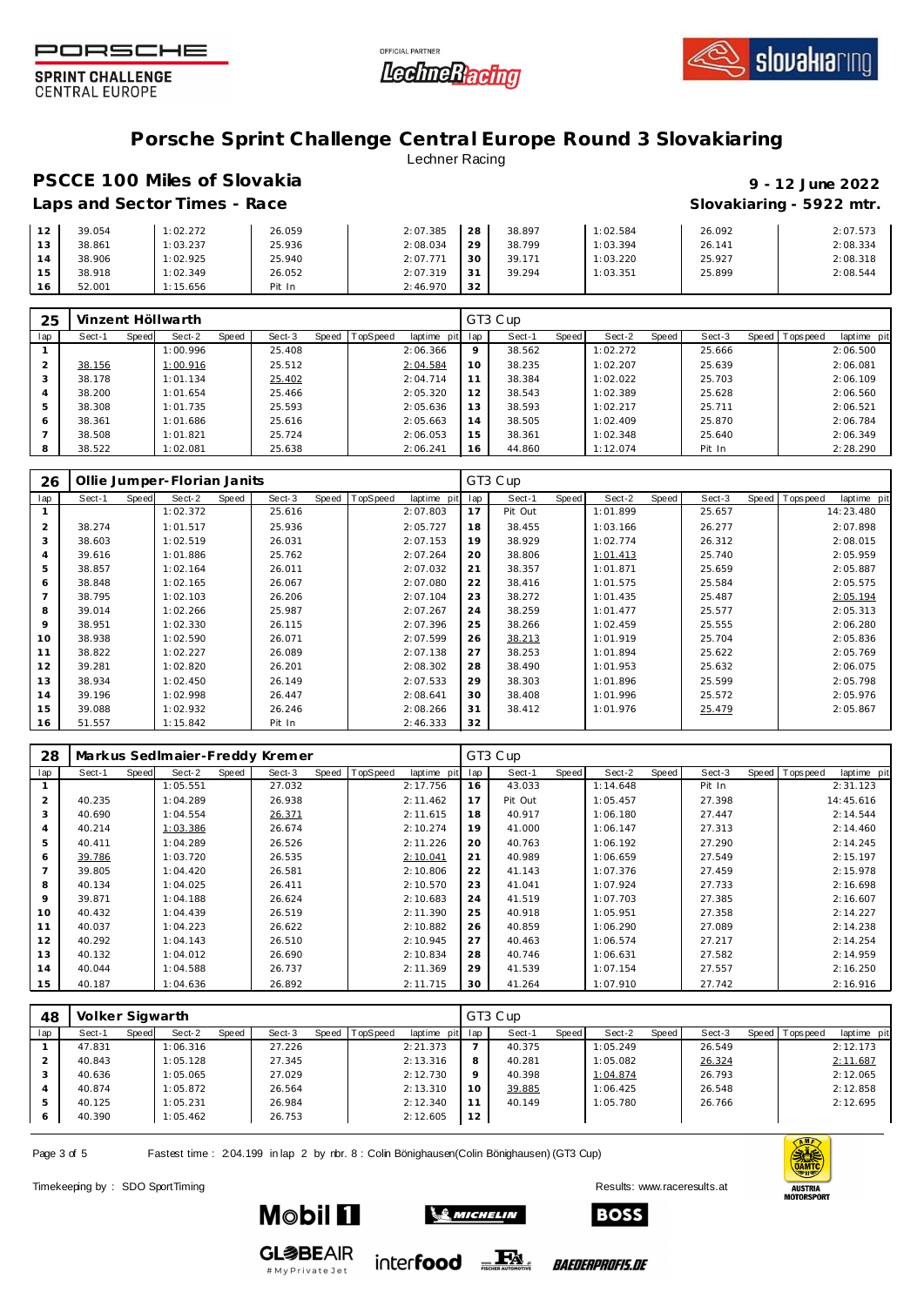





#### **Porsche Sprint Challenge Central Europe Round 3 Slovakiaring** Lechner Racing

### **PSCCE 100 Miles of Slovakia 9 - 12 June 2022 Laps and Sector Times - Race Slovakiaring - 5922 mtr.**

| 12         | 39.054 | 1:02.272 | 26.059 | 2:07.385 | 28 | 38.897 | 1:02.584 | 26.092 | 2:07.573 |
|------------|--------|----------|--------|----------|----|--------|----------|--------|----------|
| 1.2<br>ن ا | 38.861 | 1:03.237 | 25.936 | 2:08.034 | 29 | 38.799 | 1:03.394 | 26.141 | 2:08.334 |
| 14         | 38.906 | 1:02.925 | 25.940 | 2:07.771 | 30 | 39.171 | 1:03.220 | 25.927 | 2:08.318 |
| 15         | 38.918 | 1:02.349 | 26.052 | 2:07.319 | 31 | 39.294 | 1:03.351 | 25.899 | 2:08.544 |
| 16         | 52.001 | 1:15.656 | Pit In | 2:46.970 | 32 |        |          |        |          |

| 25             |        |       | Vinzent Höllwarth |       |        |       |                 |             |     | GT3 Cup |         |          |       |        |                 |             |
|----------------|--------|-------|-------------------|-------|--------|-------|-----------------|-------------|-----|---------|---------|----------|-------|--------|-----------------|-------------|
| lap            | Sect-1 | Speed | Sect-2            | Speed | Sect-3 | Speed | <b>TopSpeed</b> | laptime pit | lap | Sect-1  | Speed I | Sect-2   | Speed | Sect-3 | Speed Tops peed | laptime pit |
|                |        |       | 1:00.996          |       | 25.408 |       |                 | 2:06.366    | 9   | 38.562  |         | 1:02.272 |       | 25.666 |                 | 2:06.500    |
|                | 38.156 |       | 1:00.916          |       | 25.512 |       |                 | 2:04.584    | 10  | 38.235  |         | 1:02.207 |       | 25.639 |                 | 2:06.081    |
| 3              | 38.178 |       | 1:01.134          |       | 25.402 |       |                 | 2:04.714    | 11  | 38.384  |         | 1:02.022 |       | 25.703 |                 | 2:06.109    |
| $\overline{4}$ | 38.200 |       | 1:01.654          |       | 25.466 |       |                 | 2:05.320    | 12  | 38.543  |         | 1:02.389 |       | 25.628 |                 | 2:06.560    |
| 5              | 38.308 |       | 1:01.735          |       | 25.593 |       |                 | 2:05.636    | 13  | 38.593  |         | 1:02.217 |       | 25.711 |                 | 2:06.521    |
| 6              | 38.361 |       | 1:01.686          |       | 25.616 |       |                 | 2:05.663    | 14  | 38.505  |         | 1:02.409 |       | 25.870 |                 | 2:06.784    |
|                | 38.508 |       | 1:01.821          |       | 25.724 |       |                 | 2:06.053    | 15  | 38.361  |         | 1:02.348 |       | 25.640 |                 | 2:06.349    |
| 8              | 38.522 |       | 1:02.081          |       | 25.638 |       |                 | 2:06.241    | 16  | 44.860  |         | 1:12.074 |       | Pit In |                 | 2:28.290    |

| 26             | Ollie Jumper-Florian Janits |       |          |       |        |       |          |             |     | GT3 Cup |       |          |       |        |                |             |
|----------------|-----------------------------|-------|----------|-------|--------|-------|----------|-------------|-----|---------|-------|----------|-------|--------|----------------|-------------|
| lap            | Sect-1                      | Speed | Sect-2   | Speed | Sect-3 | Speed | TopSpeed | laptime pit | lap | Sect-1  | Speed | Sect-2   | Speed | Sect-3 | Speed Topspeed | laptime pit |
|                |                             |       | 1:02.372 |       | 25.616 |       |          | 2:07.803    | 17  | Pit Out |       | 1:01.899 |       | 25.657 |                | 14:23.480   |
| 2              | 38.274                      |       | 1:01.517 |       | 25.936 |       |          | 2:05.727    | 18  | 38.455  |       | 1:03.166 |       | 26.277 |                | 2:07.898    |
| 3              | 38.603                      |       | 1:02.519 |       | 26.031 |       |          | 2:07.153    | 19  | 38.929  |       | 1:02.774 |       | 26.312 |                | 2:08.015    |
| $\overline{A}$ | 39.616                      |       | 1:01.886 |       | 25.762 |       |          | 2:07.264    | 20  | 38.806  |       | 1:01.413 |       | 25.740 |                | 2:05.959    |
| 5              | 38.857                      |       | 1:02.164 |       | 26.011 |       |          | 2:07.032    | 21  | 38.357  |       | 1:01.871 |       | 25.659 |                | 2:05.887    |
| 6              | 38.848                      |       | 1:02.165 |       | 26.067 |       |          | 2:07.080    | 22  | 38.416  |       | 1:01.575 |       | 25.584 |                | 2:05.575    |
|                | 38.795                      |       | 1:02.103 |       | 26.206 |       |          | 2:07.104    | 23  | 38.272  |       | 1:01.435 |       | 25.487 |                | 2:05.194    |
| 8              | 39.014                      |       | 1:02.266 |       | 25.987 |       |          | 2:07.267    | 24  | 38.259  |       | 1:01.477 |       | 25.577 |                | 2:05.313    |
| 9              | 38.951                      |       | 1:02.330 |       | 26.115 |       |          | 2:07.396    | 25  | 38.266  |       | 1:02.459 |       | 25.555 |                | 2:06.280    |
| 10             | 38.938                      |       | 1:02.590 |       | 26.071 |       |          | 2:07.599    | 26  | 38.213  |       | 1:01.919 |       | 25.704 |                | 2:05.836    |
| 11             | 38.822                      |       | 1:02.227 |       | 26.089 |       |          | 2:07.138    | 27  | 38.253  |       | 1:01.894 |       | 25.622 |                | 2:05.769    |
| 12             | 39.281                      |       | 1:02.820 |       | 26.201 |       |          | 2:08.302    | 28  | 38.490  |       | 1:01.953 |       | 25.632 |                | 2:06.075    |
| 13             | 38.934                      |       | 1:02.450 |       | 26.149 |       |          | 2:07.533    | 29  | 38.303  |       | 1:01.896 |       | 25.599 |                | 2:05.798    |
| 14             | 39.196                      |       | 1:02.998 |       | 26.447 |       |          | 2:08.641    | 30  | 38.408  |       | 1:01.996 |       | 25.572 |                | 2:05.976    |
| 15             | 39.088                      |       | 1:02.932 |       | 26.246 |       |          | 2:08.266    | 31  | 38.412  |       | 1:01.976 |       | 25.479 |                | 2:05.867    |
| 16             | 51.557                      |       | 1:15.842 |       | Pit In |       |          | 2:46.333    | 32  |         |       |          |       |        |                |             |

| 28             |        |       |          |       | Markus Sedlmaier-Freddy Kremer |       |          |             |     | GT3 Cup |       |          |       |        |       |           |             |
|----------------|--------|-------|----------|-------|--------------------------------|-------|----------|-------------|-----|---------|-------|----------|-------|--------|-------|-----------|-------------|
| lap            | Sect-1 | Speed | Sect-2   | Speed | Sect-3                         | Speed | TopSpeed | laptime pit | lap | Sect-1  | Speed | Sect-2   | Speed | Sect-3 | Speed | Tops peed | laptime pit |
|                |        |       | 1:05.551 |       | 27.032                         |       |          | 2:17.756    | 16  | 43.033  |       | 1:14.648 |       | Pit In |       |           | 2:31.123    |
| $\overline{2}$ | 40.235 |       | 1:04.289 |       | 26.938                         |       |          | 2:11.462    | 17  | Pit Out |       | 1:05.457 |       | 27.398 |       |           | 14:45.616   |
| 3              | 40.690 |       | 1:04.554 |       | 26.371                         |       |          | 2:11.615    | 18  | 40.917  |       | 1:06.180 |       | 27.447 |       |           | 2:14.544    |
| 4              | 40.214 |       | 1:03.386 |       | 26.674                         |       |          | 2:10.274    | 19  | 41.000  |       | 1:06.147 |       | 27.313 |       |           | 2:14.460    |
| 5              | 40.411 |       | 1:04.289 |       | 26.526                         |       |          | 2:11.226    | 20  | 40.763  |       | 1:06.192 |       | 27.290 |       |           | 2:14.245    |
| 6              | 39.786 |       | 1:03.720 |       | 26.535                         |       |          | 2:10.041    | 21  | 40.989  |       | 1:06.659 |       | 27.549 |       |           | 2:15.197    |
|                | 39.805 |       | 1:04.420 |       | 26.581                         |       |          | 2:10.806    | 22  | 41.143  |       | 1:07.376 |       | 27.459 |       |           | 2:15.978    |
| 8              | 40.134 |       | 1:04.025 |       | 26.411                         |       |          | 2:10.570    | 23  | 41.041  |       | 1:07.924 |       | 27.733 |       |           | 2:16.698    |
| 9              | 39.871 |       | 1:04.188 |       | 26.624                         |       |          | 2:10.683    | 24  | 41.519  |       | 1:07.703 |       | 27.385 |       |           | 2:16.607    |
| 10             | 40.432 |       | 1:04.439 |       | 26.519                         |       |          | 2:11.390    | 25  | 40.918  |       | 1:05.951 |       | 27.358 |       |           | 2:14.227    |
| 11             | 40.037 |       | 1:04.223 |       | 26.622                         |       |          | 2:10.882    | 26  | 40.859  |       | 1:06.290 |       | 27.089 |       |           | 2:14.238    |
| 12             | 40.292 |       | 1:04.143 |       | 26.510                         |       |          | 2:10.945    | 27  | 40.463  |       | 1:06.574 |       | 27.217 |       |           | 2:14.254    |
| 13             | 40.132 |       | 1:04.012 |       | 26.690                         |       |          | 2:10.834    | 28  | 40.746  |       | 1:06.631 |       | 27.582 |       |           | 2:14.959    |
| 14             | 40.044 |       | 1:04.588 |       | 26.737                         |       |          | 2:11.369    | 29  | 41.539  |       | 1:07.154 |       | 27.557 |       |           | 2:16.250    |
| 15             | 40.187 |       | 1:04.636 |       | 26.892                         |       |          | 2:11.715    | 30  | 41.264  |       | 1:07.910 |       | 27.742 |       |           | 2:16.916    |

| 48  | Volker Sigwarth |       |          |       |        |       |          |             |     | GT3 Cup |       |          |       |        |       |           |             |
|-----|-----------------|-------|----------|-------|--------|-------|----------|-------------|-----|---------|-------|----------|-------|--------|-------|-----------|-------------|
| lap | Sect-1          | Speed | Sect-2   | Speed | Sect-3 | Speed | TopSpeed | laptime pit | lap | Sect-1  | Speed | Sect-2   | Speed | Sect-3 | Speed | Tops peed | laptime pit |
|     | 47.831          |       | 1:06.316 |       | 27.226 |       |          | 2:21.373    |     | 40.375  |       | 1:05.249 |       | 26.549 |       |           | 2:12.173    |
|     | 40.843          |       | 1:05.128 |       | 27.345 |       |          | 2:13.316    | 8   | 40.281  |       | 1:05.082 |       | 26.324 |       |           | 2:11.687    |
|     | 40.636          |       | 1:05.065 |       | 27.029 |       |          | 2:12.730    | 9   | 40.398  |       | 1:04.874 |       | 26.793 |       |           | 2:12.065    |
| 4   | 40.874          |       | 1:05.872 |       | 26.564 |       |          | 2:13.310    | 10  | 39.885  |       | 1:06.425 |       | 26.548 |       |           | 2:12.858    |
| 5   | 40.125          |       | 1:05.231 |       | 26.984 |       |          | 2:12.340    | 11  | 40.149  |       | 1:05.780 |       | 26.766 |       |           | 2:12.695    |
| O   | 40.390          |       | 1:05.462 |       | 26.753 |       |          | 2:12.605    | 12  |         |       |          |       |        |       |           |             |

Page 3 of 5 Fastest time : 204.199 in lap 2 by rbr. 8 : Colin Bönighausen(Colin Bönighausen) (GT3 Cup)

Timekeeping by : SDO SportTiming Results: [www.raceresults.a](www.raceresults.at)t





**Mobil 11** 



**SE MICHELIN** 

*BAEDERPROFIS.DE*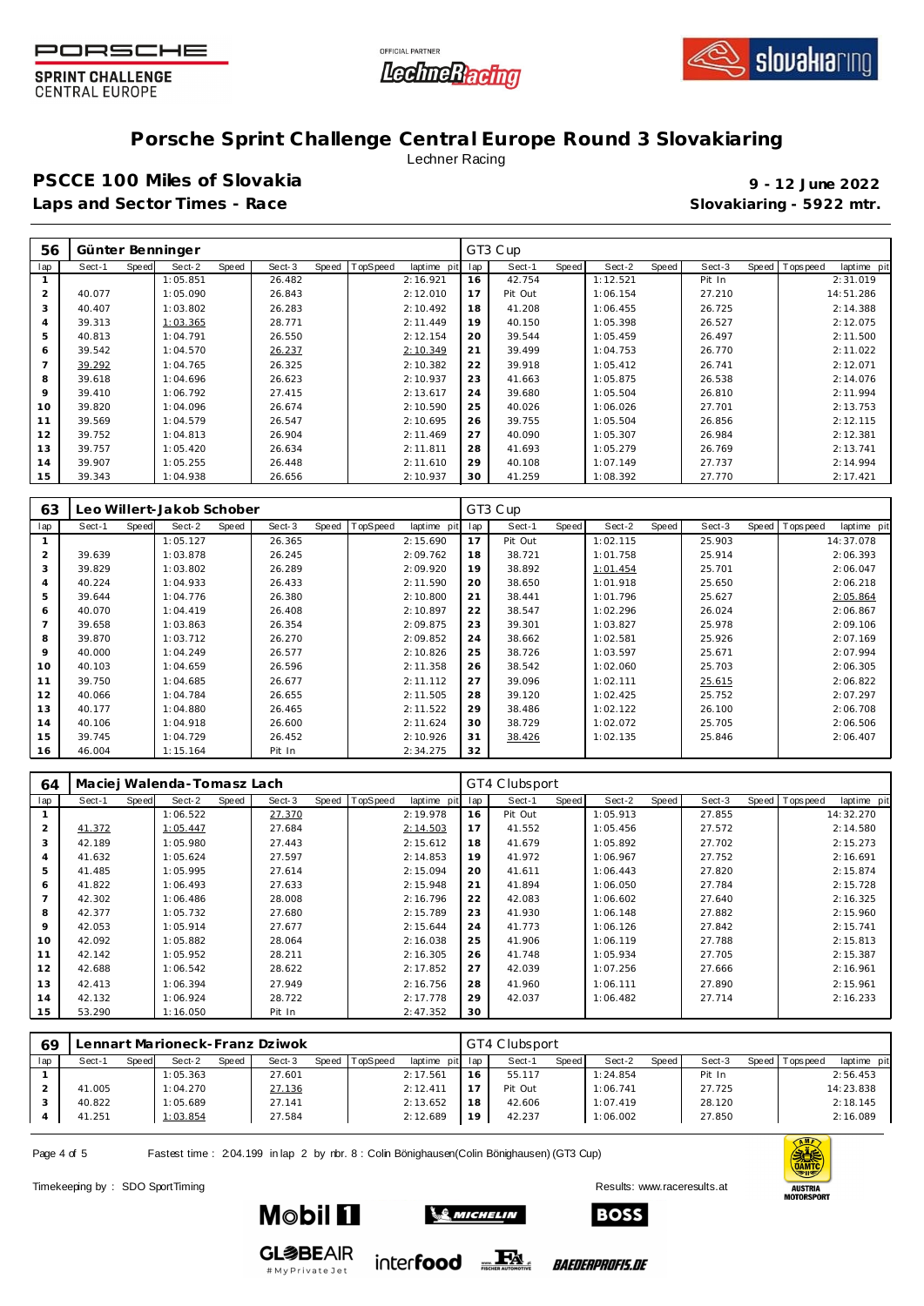





## **Porsche Sprint Challenge Central Europe Round 3 Slovakiaring**

Lechner Racing

**PSCCE 100 Miles of Slovakia 9 - 12 June 2022 Laps and Sector Times - Race Slovakiaring - 5922 mtr.**

| 56             | Günter Benninger |       |          |       |        |                |             |     | GT3 Cup |       |          |       |        |                |             |
|----------------|------------------|-------|----------|-------|--------|----------------|-------------|-----|---------|-------|----------|-------|--------|----------------|-------------|
| lap            | Sect-1           | Speed | Sect-2   | Speed | Sect-3 | Speed TopSpeed | laptime pit | lap | Sect-1  | Speed | Sect-2   | Speed | Sect-3 | Speed Topspeed | laptime pit |
|                |                  |       | 1:05.851 |       | 26.482 |                | 2:16.921    | 16  | 42.754  |       | 1:12.521 |       | Pit In |                | 2:31.019    |
| $\overline{2}$ | 40.077           |       | 1:05.090 |       | 26.843 |                | 2:12.010    | 17  | Pit Out |       | 1:06.154 |       | 27.210 |                | 14:51.286   |
| 3              | 40.407           |       | 1:03.802 |       | 26.283 |                | 2:10.492    | 18  | 41.208  |       | 1:06.455 |       | 26.725 |                | 2:14.388    |
| $\overline{4}$ | 39.313           |       | 1:03.365 |       | 28.771 |                | 2:11.449    | 19  | 40.150  |       | 1:05.398 |       | 26.527 |                | 2:12.075    |
| 5              | 40.813           |       | 1:04.791 |       | 26.550 |                | 2:12.154    | 20  | 39.544  |       | 1:05.459 |       | 26.497 |                | 2:11.500    |
| 6              | 39.542           |       | 1:04.570 |       | 26.237 |                | 2:10.349    | 21  | 39.499  |       | 1:04.753 |       | 26.770 |                | 2:11.022    |
| 7              | 39.292           |       | 1:04.765 |       | 26.325 |                | 2:10.382    | 22  | 39.918  |       | 1:05.412 |       | 26.741 |                | 2:12.071    |
| 8              | 39.618           |       | 1:04.696 |       | 26.623 |                | 2:10.937    | 23  | 41.663  |       | 1:05.875 |       | 26.538 |                | 2:14.076    |
| 9              | 39.410           |       | 1:06.792 |       | 27.415 |                | 2:13.617    | 24  | 39.680  |       | 1:05.504 |       | 26.810 |                | 2:11.994    |
| 10             | 39.820           |       | 1:04.096 |       | 26.674 |                | 2:10.590    | 25  | 40.026  |       | 1:06.026 |       | 27.701 |                | 2:13.753    |
| 11             | 39.569           |       | 1:04.579 |       | 26.547 |                | 2:10.695    | 26  | 39.755  |       | 1:05.504 |       | 26.856 |                | 2:12.115    |
| 12             | 39.752           |       | 1:04.813 |       | 26.904 |                | 2:11.469    | 27  | 40.090  |       | 1:05.307 |       | 26.984 |                | 2:12.381    |
| 13             | 39.757           |       | 1:05.420 |       | 26.634 |                | 2:11.811    | 28  | 41.693  |       | 1:05.279 |       | 26.769 |                | 2:13.741    |
| 14             | 39.907           |       | 1:05.255 |       | 26.448 |                | 2:11.610    | 29  | 40.108  |       | 1:07.149 |       | 27.737 |                | 2:14.994    |
| 15             | 39.343           |       | 1:04.938 |       | 26.656 |                | 2:10.937    | 30  | 41.259  |       | 1:08.392 |       | 27.770 |                | 2:17.421    |

| 63             |        |              | Leo Willert-Jakob Schober |       |        |       |                 |             |     | GT3 Cup |       |          |       |        |                |             |
|----------------|--------|--------------|---------------------------|-------|--------|-------|-----------------|-------------|-----|---------|-------|----------|-------|--------|----------------|-------------|
| lap            | Sect-1 | <b>Speed</b> | Sect-2                    | Speed | Sect-3 | Speed | <b>TopSpeed</b> | laptime pit | lap | Sect-1  | Speed | Sect-2   | Speed | Sect-3 | Speed Topspeed | laptime pit |
|                |        |              | 1:05.127                  |       | 26.365 |       |                 | 2:15.690    | 17  | Pit Out |       | 1:02.115 |       | 25.903 |                | 14:37.078   |
| 2              | 39.639 |              | 1:03.878                  |       | 26.245 |       |                 | 2:09.762    | 18  | 38.721  |       | 1:01.758 |       | 25.914 |                | 2:06.393    |
| 3              | 39.829 |              | 1:03.802                  |       | 26.289 |       |                 | 2:09.920    | 19  | 38.892  |       | 1:01.454 |       | 25.701 |                | 2:06.047    |
| $\overline{A}$ | 40.224 |              | 1:04.933                  |       | 26.433 |       |                 | 2:11.590    | 20  | 38.650  |       | 1:01.918 |       | 25.650 |                | 2:06.218    |
| 5              | 39.644 |              | 1:04.776                  |       | 26.380 |       |                 | 2:10.800    | 21  | 38.441  |       | 1:01.796 |       | 25.627 |                | 2:05.864    |
| 6              | 40.070 |              | 1:04.419                  |       | 26.408 |       |                 | 2:10.897    | 22  | 38.547  |       | 1:02.296 |       | 26.024 |                | 2:06.867    |
|                | 39.658 |              | 1:03.863                  |       | 26.354 |       |                 | 2:09.875    | 23  | 39.301  |       | 1:03.827 |       | 25.978 |                | 2:09.106    |
| 8              | 39.870 |              | 1:03.712                  |       | 26.270 |       |                 | 2:09.852    | 24  | 38.662  |       | 1:02.581 |       | 25.926 |                | 2:07.169    |
| 9              | 40.000 |              | 1:04.249                  |       | 26.577 |       |                 | 2:10.826    | 25  | 38.726  |       | 1:03.597 |       | 25.671 |                | 2:07.994    |
| 10             | 40.103 |              | 1:04.659                  |       | 26.596 |       |                 | 2:11.358    | 26  | 38.542  |       | 1:02.060 |       | 25.703 |                | 2:06.305    |
| 11             | 39.750 |              | 1:04.685                  |       | 26.677 |       |                 | 2:11.112    | 27  | 39.096  |       | 1:02.111 |       | 25.615 |                | 2:06.822    |
| 12             | 40.066 |              | 1:04.784                  |       | 26.655 |       |                 | 2:11.505    | 28  | 39.120  |       | 1:02.425 |       | 25.752 |                | 2:07.297    |
| 13             | 40.177 |              | 1:04.880                  |       | 26.465 |       |                 | 2:11.522    | 29  | 38.486  |       | 1:02.122 |       | 26.100 |                | 2:06.708    |
| 14             | 40.106 |              | 1:04.918                  |       | 26.600 |       |                 | 2:11.624    | 30  | 38.729  |       | 1:02.072 |       | 25.705 |                | 2:06.506    |
| 15             | 39.745 |              | 1:04.729                  |       | 26.452 |       |                 | 2:10.926    | 31  | 38.426  |       | 1:02.135 |       | 25.846 |                | 2:06.407    |
| 16             | 46.004 |              | 1:15.164                  |       | Pit In |       |                 | 2:34.275    | 32  |         |       |          |       |        |                |             |

| 64             |        |              | Maciej Walenda-Tomasz Lach |       |        |                |             |     | GT4 Clubsport |       |          |       |        |       |           |             |
|----------------|--------|--------------|----------------------------|-------|--------|----------------|-------------|-----|---------------|-------|----------|-------|--------|-------|-----------|-------------|
| lap            | Sect-1 | <b>Speed</b> | Sect-2                     | Speed | Sect-3 | Speed TopSpeed | laptime pit | lap | Sect-1        | Speed | Sect-2   | Speed | Sect-3 | Speed | Tops peed | laptime pit |
|                |        |              | 1:06.522                   |       | 27.370 |                | 2:19.978    | 16  | Pit Out       |       | 1:05.913 |       | 27.855 |       |           | 14:32.270   |
| $\overline{2}$ | 41.372 |              | 1:05.447                   |       | 27.684 |                | 2:14.503    | 17  | 41.552        |       | 1:05.456 |       | 27.572 |       |           | 2:14.580    |
| 3              | 42.189 |              | 1:05.980                   |       | 27.443 |                | 2:15.612    | 18  | 41.679        |       | 1:05.892 |       | 27.702 |       |           | 2:15.273    |
| $\overline{4}$ | 41.632 |              | 1:05.624                   |       | 27.597 |                | 2:14.853    | 19  | 41.972        |       | 1:06.967 |       | 27.752 |       |           | 2:16.691    |
| 5              | 41.485 |              | 1:05.995                   |       | 27.614 |                | 2:15.094    | 20  | 41.611        |       | 1:06.443 |       | 27.820 |       |           | 2:15.874    |
| 6              | 41.822 |              | 1:06.493                   |       | 27.633 |                | 2:15.948    | 21  | 41.894        |       | 1:06.050 |       | 27.784 |       |           | 2:15.728    |
| $\overline{7}$ | 42.302 |              | 1:06.486                   |       | 28.008 |                | 2:16.796    | 22  | 42.083        |       | 1:06.602 |       | 27.640 |       |           | 2:16.325    |
| 8              | 42.377 |              | 1:05.732                   |       | 27.680 |                | 2:15.789    | 23  | 41.930        |       | 1:06.148 |       | 27.882 |       |           | 2:15.960    |
| 9              | 42.053 |              | 1:05.914                   |       | 27.677 |                | 2:15.644    | 24  | 41.773        |       | 1:06.126 |       | 27.842 |       |           | 2:15.741    |
| 10             | 42.092 |              | 1:05.882                   |       | 28.064 |                | 2:16.038    | 25  | 41.906        |       | 1:06.119 |       | 27.788 |       |           | 2:15.813    |
| 11             | 42.142 |              | 1:05.952                   |       | 28.211 |                | 2:16.305    | 26  | 41.748        |       | 1:05.934 |       | 27.705 |       |           | 2:15.387    |
| 12             | 42.688 |              | 1:06.542                   |       | 28.622 |                | 2:17.852    | 27  | 42.039        |       | 1:07.256 |       | 27.666 |       |           | 2:16.961    |
| 13             | 42.413 |              | 1:06.394                   |       | 27.949 |                | 2:16.756    | 28  | 41.960        |       | 1:06.111 |       | 27.890 |       |           | 2:15.961    |
| 14             | 42.132 |              | 1:06.924                   |       | 28.722 |                | 2:17.778    | 29  | 42.037        |       | 1:06.482 |       | 27.714 |       |           | 2:16.233    |
| 15             | 53.290 |              | 1:16.050                   |       | Pit In |                | 2:47.352    | 30  |               |       |          |       |        |       |           |             |

| 69  |        |       |          |       | Lennart Marioneck-Franz Dziwok |                |             |     | GT4 Clubsport |       |          |       |        |         |          |             |
|-----|--------|-------|----------|-------|--------------------------------|----------------|-------------|-----|---------------|-------|----------|-------|--------|---------|----------|-------------|
| lap | Sect-1 | Speed | Sect-2   | Speed | Sect-3                         | Speed TopSpeed | laptime pit | lap | Sect-1        | Speed | Sect-2   | Speed | Sect-3 | Speed I | Topspeed | laptime pit |
|     |        |       | 1:05.363 |       | 27.601                         |                | 2:17.561    | 16  | 55.117        |       | 1:24.854 |       | Pit In |         |          | 2:56.453    |
|     | 41.005 |       | 1:04.270 |       | 27.136                         |                | 2:12.411    |     | Pit Out       |       | 1:06.741 |       | 27.725 |         |          | 14:23.838   |
|     | 40.822 |       | 1:05.689 |       | 27.141                         |                | 2:13.652    | 18  | 42.606        |       | 1:07.419 |       | 28.120 |         |          | 2:18.145    |
|     | 41.251 |       | 1:03.854 |       | 27.584                         |                | 2:12.689    | 19  | 42.237        |       | 1:06.002 |       | 27.850 |         |          | 2:16.089    |
|     |        |       |          |       |                                |                |             |     |               |       |          |       |        |         |          |             |

inter**food** FRI

Page 4 of 5 Fastest time : 204.199 in lap 2 by rbr. 8 : Colin Bönighausen(Colin Bönighausen) (GT3 Cup)

Timekeeping by : SDO SportTiming Results: [www.raceresults.a](www.raceresults.at)t



**GL参BEAIR** #MyPrivateJet

**Mobil 11** 



*BAEDERPROFIS.DE*